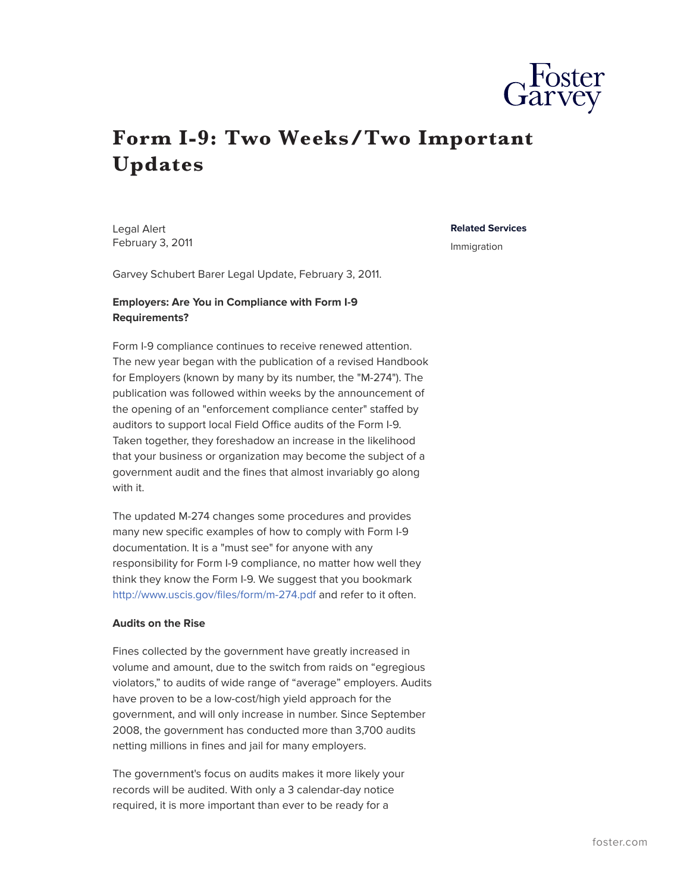

## **Form I-9: Two Weeks/Two Important Updates**

Legal Alert February 3, 2011

## **Related Services**

Immigration

Garvey Schubert Barer Legal Update, February 3, 2011.

## **Employers: Are You in Compliance with Form I-9 Requirements?**

Form I-9 compliance continues to receive renewed attention. The new year began with the publication of a revised Handbook for Employers (known by many by its number, the "M-274"). The publication was followed within weeks by the announcement of the opening of an "enforcement compliance center" staffed by auditors to support local Field Office audits of the Form I-9. Taken together, they foreshadow an increase in the likelihood that your business or organization may become the subject of a government audit and the fines that almost invariably go along with it.

The updated M-274 changes some procedures and provides many new specific examples of how to comply with Form I-9 documentation. It is a "must see" for anyone with any responsibility for Form I-9 compliance, no matter how well they think they know the Form I-9. We suggest that you bookmark <http://www.uscis.gov/files/form/m-274.pdf>and refer to it often.

## **Audits on the Rise**

Fines collected by the government have greatly increased in volume and amount, due to the switch from raids on "egregious violators," to audits of wide range of "average" employers. Audits have proven to be a low-cost/high yield approach for the government, and will only increase in number. Since September 2008, the government has conducted more than 3,700 audits netting millions in fines and jail for many employers.

The government's focus on audits makes it more likely your records will be audited. With only a 3 calendar-day notice required, it is more important than ever to be ready for a